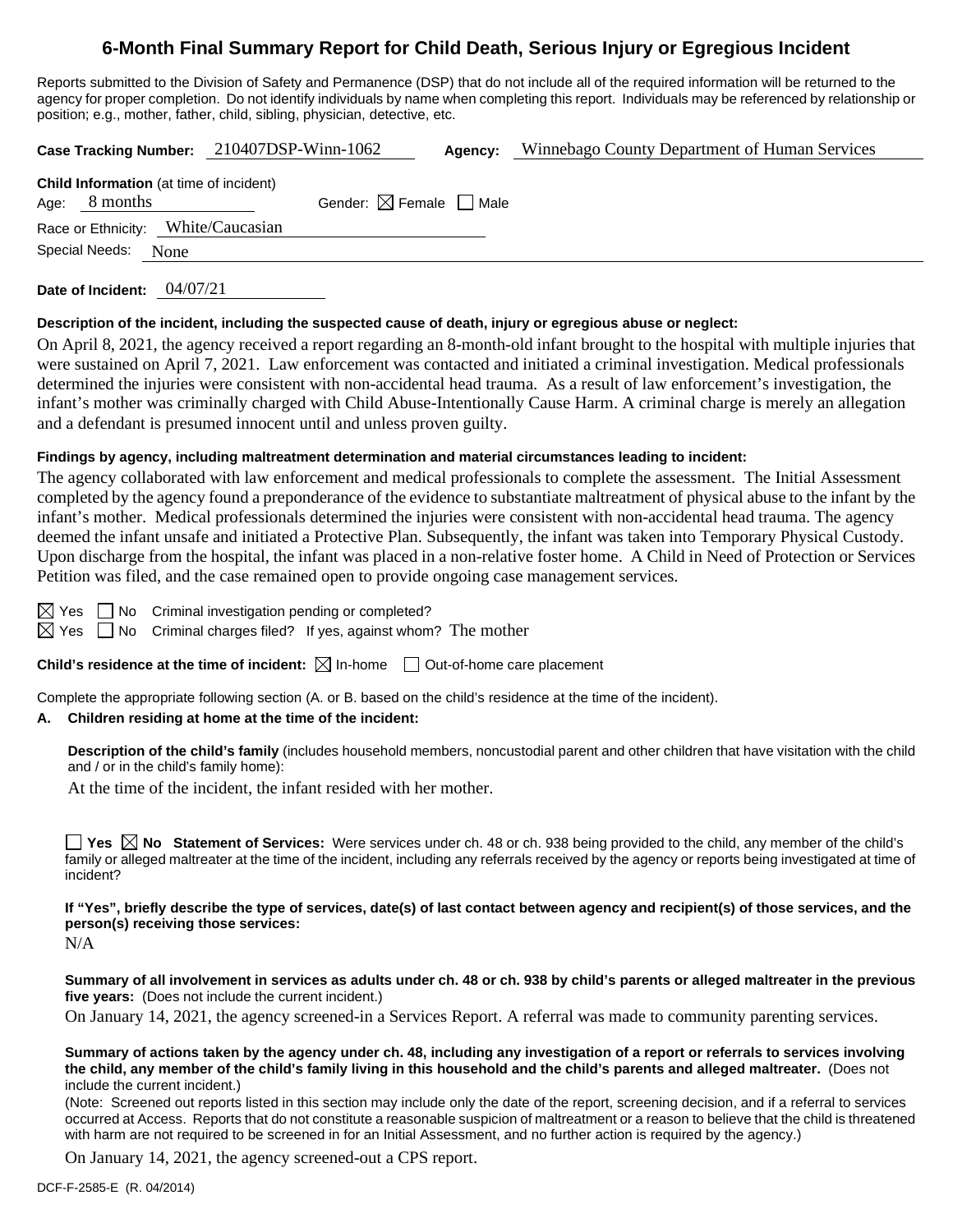# **6-Month Final Summary Report for Child Death, Serious Injury or Egregious Incident**

Reports submitted to the Division of Safety and Permanence (DSP) that do not include all of the required information will be returned to the agency for proper completion. Do not identify individuals by name when completing this report. Individuals may be referenced by relationship or position; e.g., mother, father, child, sibling, physician, detective, etc.

|                                                                   | Case Tracking Number: 210407DSP-Winn-1062 | Agency: | Winnebago County Department of Human Services |  |  |  |
|-------------------------------------------------------------------|-------------------------------------------|---------|-----------------------------------------------|--|--|--|
| <b>Child Information</b> (at time of incident)<br>Age: $8$ months | Gender: $\boxtimes$ Female $\Box$ Male    |         |                                               |  |  |  |
| Race or Ethnicity: White/Caucasian                                |                                           |         |                                               |  |  |  |
| Special Needs:<br>None                                            |                                           |         |                                               |  |  |  |
|                                                                   |                                           |         |                                               |  |  |  |

**Date of Incident:** 04/07/21

#### **Description of the incident, including the suspected cause of death, injury or egregious abuse or neglect:**

On April 8, 2021, the agency received a report regarding an 8-month-old infant brought to the hospital with multiple injuries that were sustained on April 7, 2021. Law enforcement was contacted and initiated a criminal investigation. Medical professionals determined the injuries were consistent with non-accidental head trauma. As a result of law enforcement's investigation, the infant's mother was criminally charged with Child Abuse-Intentionally Cause Harm. A criminal charge is merely an allegation and a defendant is presumed innocent until and unless proven guilty.

#### **Findings by agency, including maltreatment determination and material circumstances leading to incident:**

The agency collaborated with law enforcement and medical professionals to complete the assessment. The Initial Assessment completed by the agency found a preponderance of the evidence to substantiate maltreatment of physical abuse to the infant by the infant's mother. Medical professionals determined the injuries were consistent with non-accidental head trauma. The agency deemed the infant unsafe and initiated a Protective Plan. Subsequently, the infant was taken into Temporary Physical Custody. Upon discharge from the hospital, the infant was placed in a non-relative foster home. A Child in Need of Protection or Services Petition was filed, and the case remained open to provide ongoing case management services.

 $\boxtimes$  Yes  $\Box$  No Criminal investigation pending or completed?

 $\boxtimes$  Yes  $\Box$  No Criminal charges filed? If yes, against whom? The mother

#### **Child's residence at the time of incident:**  $\boxtimes$  In-home  $\Box$  Out-of-home care placement

Complete the appropriate following section (A. or B. based on the child's residence at the time of the incident).

#### **A. Children residing at home at the time of the incident:**

**Description of the child's family** (includes household members, noncustodial parent and other children that have visitation with the child and / or in the child's family home):

At the time of the incident, the infant resided with her mother.

**Yes**  $\boxtimes$  **No** Statement of Services: Were services under ch. 48 or ch. 938 being provided to the child, any member of the child's family or alleged maltreater at the time of the incident, including any referrals received by the agency or reports being investigated at time of incident?

**If "Yes", briefly describe the type of services, date(s) of last contact between agency and recipient(s) of those services, and the person(s) receiving those services:**

N/A

**Summary of all involvement in services as adults under ch. 48 or ch. 938 by child's parents or alleged maltreater in the previous five years:** (Does not include the current incident.)

On January 14, 2021, the agency screened-in a Services Report. A referral was made to community parenting services.

**Summary of actions taken by the agency under ch. 48, including any investigation of a report or referrals to services involving the child, any member of the child's family living in this household and the child's parents and alleged maltreater.** (Does not include the current incident.)

(Note: Screened out reports listed in this section may include only the date of the report, screening decision, and if a referral to services occurred at Access. Reports that do not constitute a reasonable suspicion of maltreatment or a reason to believe that the child is threatened with harm are not required to be screened in for an Initial Assessment, and no further action is required by the agency.)

On January 14, 2021, the agency screened-out a CPS report.